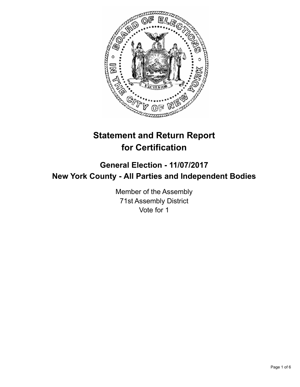

# **Statement and Return Report for Certification**

# **General Election - 11/07/2017 New York County - All Parties and Independent Bodies**

Member of the Assembly 71st Assembly District Vote for 1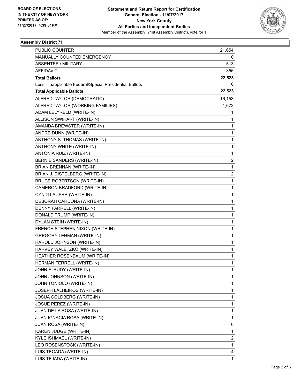

## **Assembly District 71**

| PUBLIC COUNTER                                           | 21,654                  |
|----------------------------------------------------------|-------------------------|
| <b>MANUALLY COUNTED EMERGENCY</b>                        | 0                       |
| ABSENTEE / MILITARY                                      | 513                     |
| <b>AFFIDAVIT</b>                                         | 356                     |
| <b>Total Ballots</b>                                     | 22,523                  |
| Less - Inapplicable Federal/Special Presidential Ballots | 0                       |
| <b>Total Applicable Ballots</b>                          | 22,523                  |
| ALFRED TAYLOR (DEMOCRATIC)                               | 16,153                  |
| ALFRED TAYLOR (WORKING FAMILIES)                         | 1,673                   |
| ADAM LELYRELD (WRITE-IN)                                 | 1                       |
| ALLISON SWIHART (WRITE-IN)                               | 1                       |
| AMANDA BREWSTER (WRITE-IN)                               | 1                       |
| ANDRE DUNN (WRITE-IN)                                    | 1                       |
| ANTHONY S. THOMAS (WRITE-IN)                             | 1                       |
| ANTHONY WHITE (WRITE-IN)                                 | 1                       |
| ANTONIA RUIZ (WRITE-IN)                                  | 1                       |
| BERNIE SANDERS (WRITE-IN)                                | $\overline{\mathbf{c}}$ |
| <b>BRIAN BRENNAN (WRITE-IN)</b>                          | 1                       |
| BRIAN J. DISTELBERG (WRITE-IN)                           | 2                       |
| <b>BRUCE ROBERTSON (WRITE-IN)</b>                        | $\mathbf{1}$            |
| CAMERON BRADFORD (WRITE-IN)                              | 1                       |
| CYNDI LAUPER (WRITE-IN)                                  | 1                       |
| DEBORAH CARDONA (WRITE-IN)                               | 1                       |
| DENNY FARRELL (WRITE-IN)                                 | 1                       |
| DONALD TRUMP (WRITE-IN)                                  | 1                       |
| DYLAN STEIN (WRITE-IN)                                   | 1                       |
| FRENCH STEPHEN NIXON (WRITE-IN)                          | 1                       |
| <b>GREGORY LEHMAN (WRITE-IN)</b>                         | 1                       |
| HAROLD JOHNSON (WRITE-IN)                                | 1                       |
| HARVEY WALETZKO (WRITE-IN)                               | 1                       |
| HEATHER ROSENBAUM (WRITE-IN)                             | 1                       |
| HERMAN FERRELL (WRITE-IN)                                | 1                       |
| JOHN F. RUDY (WRITE-IN)                                  | 1                       |
| JOHN JOHNSON (WRITE-IN)                                  | 1                       |
| JOHN TONIOLO (WRITE-IN)                                  | 1                       |
| JOSEPH LALHEIROS (WRITE-IN)                              | 1                       |
| <b>JOSUA GOLDBERG (WRITE-IN)</b>                         | 1                       |
| JOSUE PEREZ (WRITE-IN)                                   | 1                       |
| JUAN DE LA ROSA (WRITE-IN)                               | 1                       |
| JUAN IGNACIA ROSA (WRITE-IN)                             | 1                       |
| <b>JUAN ROSA (WRITE-IN)</b>                              | 6                       |
| KAREN JUDGE (WRITE-IN)                                   | 1                       |
| KYLE ISHMAEL (WRITE-IN)                                  | 2                       |
| LEO ROSENSTOCK (WRITE-IN)                                | 1                       |
| LUIS TEGADA (WRITE-IN)                                   | 4                       |
| LUIS TEJADA (WRITE-IN)                                   | 1                       |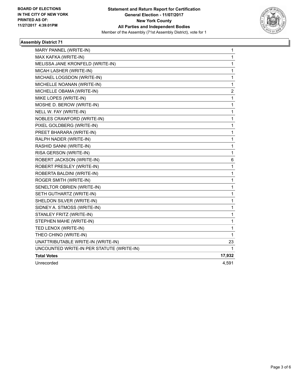

## **Assembly District 71**

| MARY PANNEL (WRITE-IN)                    | 1            |
|-------------------------------------------|--------------|
| MAX KAFKA (WRITE-IN)                      | 1            |
| MELISSA JANE KRONFELD (WRITE-IN)          | $\mathbf 1$  |
| MICAH LASHER (WRITE-IN)                   | 1            |
| MICHAEL LOGSDON (WRITE-IN)                | 1            |
| MICHELLE NOANAN (WRITE-IN)                | 1            |
| MICHELLE OBAMA (WRITE-IN)                 | 2            |
| MIKE LOPES (WRITE-IN)                     | $\mathbf{1}$ |
| MOSHE D. BEROW (WRITE-IN)                 | $\mathbf{1}$ |
| NELL W. FAY (WRITE-IN)                    | 1            |
| NOBLES CRAWFORD (WRITE-IN)                | $\mathbf 1$  |
| PIXEL GOLDBERG (WRITE-IN)                 | 1            |
| PREET BHARARA (WRITE-IN)                  | 1            |
| RALPH NADER (WRITE-IN)                    | 1            |
| RASHID SANNI (WRITE-IN)                   | 1            |
| RISA GERSON (WRITE-IN)                    | $\mathbf{1}$ |
| ROBERT JACKSON (WRITE-IN)                 | 6            |
| ROBERT PRESLEY (WRITE-IN)                 | 1            |
| ROBERTA BALDINI (WRITE-IN)                | $\mathbf{1}$ |
| ROGER SMITH (WRITE-IN)                    | $\mathbf{1}$ |
| SENELTOR OBRIEN (WRITE-IN)                | 1            |
| SETH GUTHARTZ (WRITE-IN)                  | $\mathbf{1}$ |
| SHELDON SILVER (WRITE-IN)                 | 1            |
| SIDNEY A. STMOSS (WRITE-IN)               | 1            |
| STANLEY FRITZ (WRITE-IN)                  | $\mathbf{1}$ |
| STEPHEN MAHE (WRITE-IN)                   | 1            |
| TED LENOX (WRITE-IN)                      | 1            |
| THEO CHINO (WRITE-IN)                     | 1            |
| UNATTRIBUTABLE WRITE-IN (WRITE-IN)        | 23           |
| UNCOUNTED WRITE-IN PER STATUTE (WRITE-IN) | 1            |
| <b>Total Votes</b>                        | 17,932       |
| Unrecorded                                | 4,591        |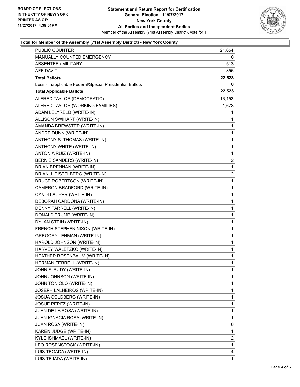

#### **Total for Member of the Assembly (71st Assembly District) - New York County**

| PUBLIC COUNTER                                           | 21,654       |
|----------------------------------------------------------|--------------|
| MANUALLY COUNTED EMERGENCY                               | 0            |
| <b>ABSENTEE / MILITARY</b>                               | 513          |
| AFFIDAVIT                                                | 356          |
| <b>Total Ballots</b>                                     | 22,523       |
| Less - Inapplicable Federal/Special Presidential Ballots | 0            |
| <b>Total Applicable Ballots</b>                          | 22,523       |
| ALFRED TAYLOR (DEMOCRATIC)                               | 16,153       |
| ALFRED TAYLOR (WORKING FAMILIES)                         | 1,673        |
| ADAM LELYRELD (WRITE-IN)                                 | 1            |
| ALLISON SWIHART (WRITE-IN)                               | 1            |
| AMANDA BREWSTER (WRITE-IN)                               | 1            |
| ANDRE DUNN (WRITE-IN)                                    | $\mathbf{1}$ |
| ANTHONY S. THOMAS (WRITE-IN)                             | 1            |
| ANTHONY WHITE (WRITE-IN)                                 | 1            |
| ANTONIA RUIZ (WRITE-IN)                                  | 1            |
| BERNIE SANDERS (WRITE-IN)                                | 2            |
| BRIAN BRENNAN (WRITE-IN)                                 | $\mathbf{1}$ |
| BRIAN J. DISTELBERG (WRITE-IN)                           | 2            |
| <b>BRUCE ROBERTSON (WRITE-IN)</b>                        | 1            |
| CAMERON BRADFORD (WRITE-IN)                              | 1            |
| CYNDI LAUPER (WRITE-IN)                                  | 1            |
| DEBORAH CARDONA (WRITE-IN)                               | 1            |
| DENNY FARRELL (WRITE-IN)                                 | 1            |
| DONALD TRUMP (WRITE-IN)                                  | 1            |
| DYLAN STEIN (WRITE-IN)                                   | 1            |
| FRENCH STEPHEN NIXON (WRITE-IN)                          | 1            |
| <b>GREGORY LEHMAN (WRITE-IN)</b>                         | 1            |
| HAROLD JOHNSON (WRITE-IN)                                | 1            |
| HARVEY WALETZKO (WRITE-IN)                               | 1            |
| HEATHER ROSENBAUM (WRITE-IN)                             | 1            |
| HERMAN FERRELL (WRITE-IN)                                | $\mathbf{1}$ |
| JOHN F. RUDY (WRITE-IN)                                  | 1            |
| JOHN JOHNSON (WRITE-IN)                                  | 1            |
| JOHN TONIOLO (WRITE-IN)                                  | 1            |
| JOSEPH LALHEIROS (WRITE-IN)                              | 1            |
| JOSUA GOLDBERG (WRITE-IN)                                | 1            |
| JOSUE PEREZ (WRITE-IN)                                   | 1            |
| JUAN DE LA ROSA (WRITE-IN)                               | 1            |
| JUAN IGNACIA ROSA (WRITE-IN)                             | 1            |
| JUAN ROSA (WRITE-IN)                                     | 6            |
| KAREN JUDGE (WRITE-IN)                                   | 1            |
| KYLE ISHMAEL (WRITE-IN)                                  | 2            |
| LEO ROSENSTOCK (WRITE-IN)                                | 1            |
| LUIS TEGADA (WRITE-IN)                                   | 4            |
| LUIS TEJADA (WRITE-IN)                                   | $\mathbf{1}$ |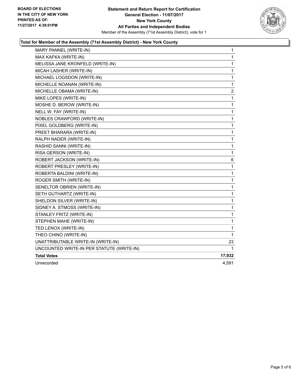

#### **Total for Member of the Assembly (71st Assembly District) - New York County**

| MARY PANNEL (WRITE-IN)                    | 1            |
|-------------------------------------------|--------------|
| MAX KAFKA (WRITE-IN)                      | 1            |
| MELISSA JANE KRONFELD (WRITE-IN)          | 1            |
| MICAH LASHER (WRITE-IN)                   | 1            |
| MICHAEL LOGSDON (WRITE-IN)                | $\mathbf{1}$ |
| MICHELLE NOANAN (WRITE-IN)                | $\mathbf 1$  |
| MICHELLE OBAMA (WRITE-IN)                 | 2            |
| MIKE LOPES (WRITE-IN)                     | 1            |
| MOSHE D. BEROW (WRITE-IN)                 | $\mathbf{1}$ |
| NELL W. FAY (WRITE-IN)                    | $\mathbf 1$  |
| NOBLES CRAWFORD (WRITE-IN)                | 1            |
| PIXEL GOLDBERG (WRITE-IN)                 | 1            |
| PREET BHARARA (WRITE-IN)                  | 1            |
| RALPH NADER (WRITE-IN)                    | 1            |
| RASHID SANNI (WRITE-IN)                   | 1            |
| RISA GERSON (WRITE-IN)                    | $\mathbf{1}$ |
| ROBERT JACKSON (WRITE-IN)                 | 6            |
| ROBERT PRESLEY (WRITE-IN)                 | $\mathbf{1}$ |
| ROBERTA BALDINI (WRITE-IN)                | 1            |
| ROGER SMITH (WRITE-IN)                    | 1            |
| SENELTOR OBRIEN (WRITE-IN)                | 1            |
| SETH GUTHARTZ (WRITE-IN)                  | $\mathbf 1$  |
| SHELDON SILVER (WRITE-IN)                 | 1            |
| SIDNEY A. STMOSS (WRITE-IN)               | 1            |
| STANLEY FRITZ (WRITE-IN)                  | 1            |
| STEPHEN MAHE (WRITE-IN)                   | 1            |
| TED LENOX (WRITE-IN)                      | 1            |
| THEO CHINO (WRITE-IN)                     | 1            |
| UNATTRIBUTABLE WRITE-IN (WRITE-IN)        | 23           |
| UNCOUNTED WRITE-IN PER STATUTE (WRITE-IN) | 1            |
| <b>Total Votes</b>                        | 17,932       |
| Unrecorded                                | 4.591        |